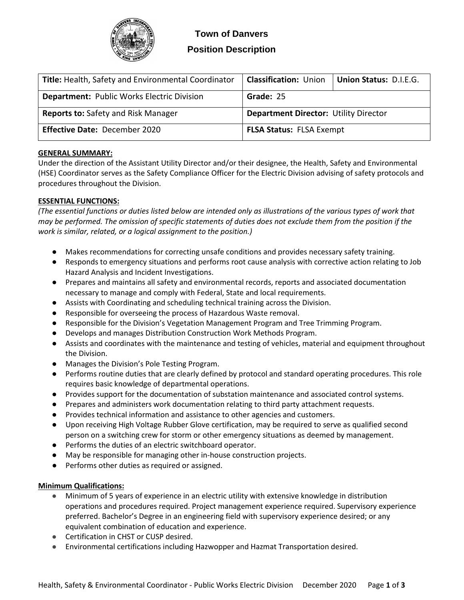

| <b>Title:</b> Health, Safety and Environmental Coordinator | <b>Classification: Union</b>                 | <b>Union Status: D.I.E.G.</b> |
|------------------------------------------------------------|----------------------------------------------|-------------------------------|
| <b>Department: Public Works Electric Division</b>          | Grade: 25                                    |                               |
| <b>Reports to: Safety and Risk Manager</b>                 | <b>Department Director: Utility Director</b> |                               |
| Effective Date: December 2020                              | <b>FLSA Status: FLSA Exempt</b>              |                               |

# **GENERAL SUMMARY:**

Under the direction of the Assistant Utility Director and/or their designee, the Health, Safety and Environmental (HSE) Coordinator serves as the Safety Compliance Officer for the Electric Division advising of safety protocols and procedures throughout the Division.

# **ESSENTIAL FUNCTIONS:**

*(The essential functions or duties listed below are intended only as illustrations of the various types of work that may be performed. The omission of specific statements of duties does not exclude them from the position if the work is similar, related, or a logical assignment to the position.)*

- Makes recommendations for correcting unsafe conditions and provides necessary safety training.
- Responds to emergency situations and performs root cause analysis with corrective action relating to Job Hazard Analysis and Incident Investigations.
- Prepares and maintains all safety and environmental records, reports and associated documentation necessary to manage and comply with Federal, State and local requirements.
- Assists with Coordinating and scheduling technical training across the Division.
- Responsible for overseeing the process of Hazardous Waste removal.
- Responsible for the Division's Vegetation Management Program and Tree Trimming Program.
- Develops and manages Distribution Construction Work Methods Program.
- Assists and coordinates with the maintenance and testing of vehicles, material and equipment throughout the Division.
- Manages the Division's Pole Testing Program.
- Performs routine duties that are clearly defined by protocol and standard operating procedures. This role requires basic knowledge of departmental operations.
- Provides support for the documentation of substation maintenance and associated control systems.
- Prepares and administers work documentation relating to third party attachment requests.
- Provides technical information and assistance to other agencies and customers.
- Upon receiving High Voltage Rubber Glove certification, may be required to serve as qualified second person on a switching crew for storm or other emergency situations as deemed by management.
- Performs the duties of an electric switchboard operator.
- May be responsible for managing other in-house construction projects.
- Performs other duties as required or assigned.

## **Minimum Qualifications:**

- Minimum of 5 years of experience in an electric utility with extensive knowledge in distribution operations and procedures required. Project management experience required. Supervisory experience preferred. Bachelor's Degree in an engineering field with supervisory experience desired; or any equivalent combination of education and experience.
- Certification in CHST or CUSP desired.
- Environmental certifications including Hazwopper and Hazmat Transportation desired.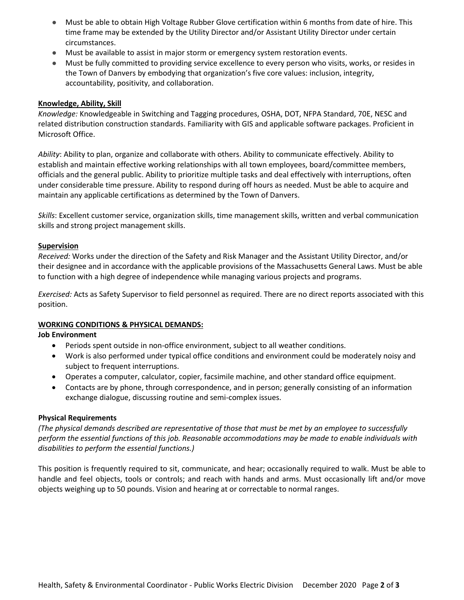- Must be able to obtain High Voltage Rubber Glove certification within 6 months from date of hire. This time frame may be extended by the Utility Director and/or Assistant Utility Director under certain circumstances.
- Must be available to assist in major storm or emergency system restoration events.
- Must be fully committed to providing service excellence to every person who visits, works, or resides in the Town of Danvers by embodying that organization's five core values: inclusion, integrity, accountability, positivity, and collaboration.

## **Knowledge, Ability, Skill**

*Knowledge:* Knowledgeable in Switching and Tagging procedures, OSHA, DOT, NFPA Standard, 70E, NESC and related distribution construction standards. Familiarity with GIS and applicable software packages. Proficient in Microsoft Office.

*Ability*: Ability to plan, organize and collaborate with others. Ability to communicate effectively. Ability to establish and maintain effective working relationships with all town employees, board/committee members, officials and the general public. Ability to prioritize multiple tasks and deal effectively with interruptions, often under considerable time pressure. Ability to respond during off hours as needed. Must be able to acquire and maintain any applicable certifications as determined by the Town of Danvers.

*Skills*: Excellent customer service, organization skills, time management skills, written and verbal communication skills and strong project management skills.

### **Supervision**

*Received:* Works under the direction of the Safety and Risk Manager and the Assistant Utility Director, and/or their designee and in accordance with the applicable provisions of the Massachusetts General Laws. Must be able to function with a high degree of independence while managing various projects and programs.

*Exercised:* Acts as Safety Supervisor to field personnel as required. There are no direct reports associated with this position.

## **WORKING CONDITIONS & PHYSICAL DEMANDS:**

### **Job Environment**

- Periods spent outside in non-office environment, subject to all weather conditions.
- Work is also performed under typical office conditions and environment could be moderately noisy and subject to frequent interruptions.
- Operates a computer, calculator, copier, facsimile machine, and other standard office equipment.
- Contacts are by phone, through correspondence, and in person; generally consisting of an information exchange dialogue, discussing routine and semi-complex issues.

### **Physical Requirements**

*(The physical demands described are representative of those that must be met by an employee to successfully perform the essential functions of this job. Reasonable accommodations may be made to enable individuals with disabilities to perform the essential functions.)* 

This position is frequently required to sit, communicate, and hear; occasionally required to walk. Must be able to handle and feel objects, tools or controls; and reach with hands and arms. Must occasionally lift and/or move objects weighing up to 50 pounds. Vision and hearing at or correctable to normal ranges.